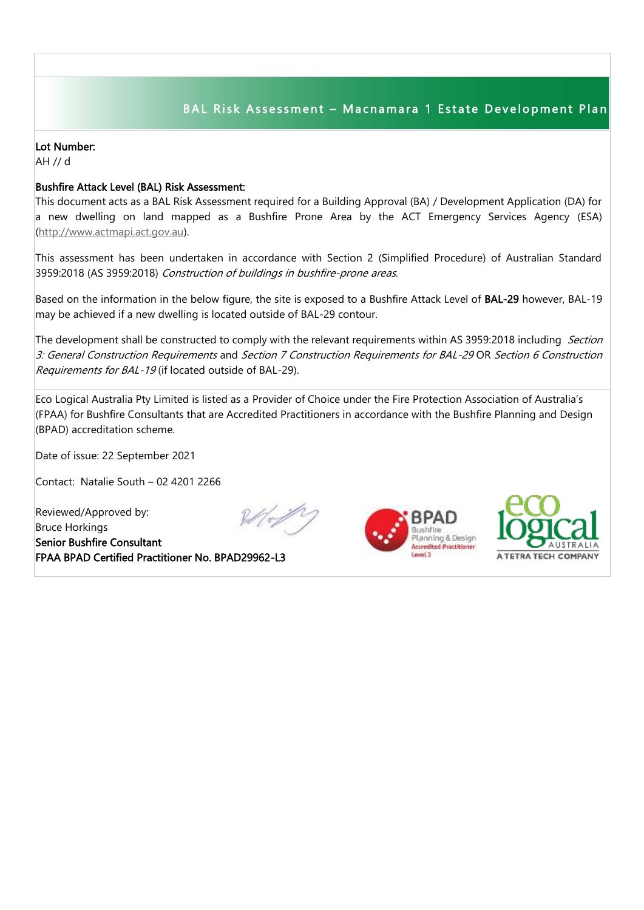## BAL Risk Assessment - Macnamara 1 Estate Development Plan

## Lot Number:

AH // d

## Bushfire Attack Level (BAL) Risk Assessment:

This document acts as a BAL Risk Assessment required for a Building Approval (BA) / Development Application (DA) for a new dwelling on land mapped as a Bushfire Prone Area by the ACT Emergency Services Agency (ESA) [\(http://www.actmapi.act.gov.au\)](http://www.actmapi.act.gov.au/).

This assessment has been undertaken in accordance with Section 2 (Simplified Procedure) of Australian Standard 3959:2018 (AS 3959:2018) Construction of buildings in bushfire-prone areas.

Based on the information in the below figure, the site is exposed to a Bushfire Attack Level of BAL-29 however, BAL-19 may be achieved if a new dwelling is located outside of BAL-29 contour.

The development shall be constructed to comply with the relevant requirements within AS 3959:2018 including Section 3: General Construction Requirements and Section 7 Construction Requirements for BAL-29 OR Section 6 Construction Requirements for BAL-19 (if located outside of BAL-29).

Eco Logical Australia Pty Limited is listed as a Provider of Choice under the Fire Protection Association of Australia's (FPAA) for Bushfire Consultants that are Accredited Practitioners in accordance with the Bushfire Planning and Design (BPAD) accreditation scheme.

Date of issue: 22 September 2021

Contact: Natalie South – 02 4201 2266

Reviewed/Approved by: Bruce Horkings Senior Bushfire Consultant FPAA BPAD Certified Practitioner No. BPAD29962-L3





I